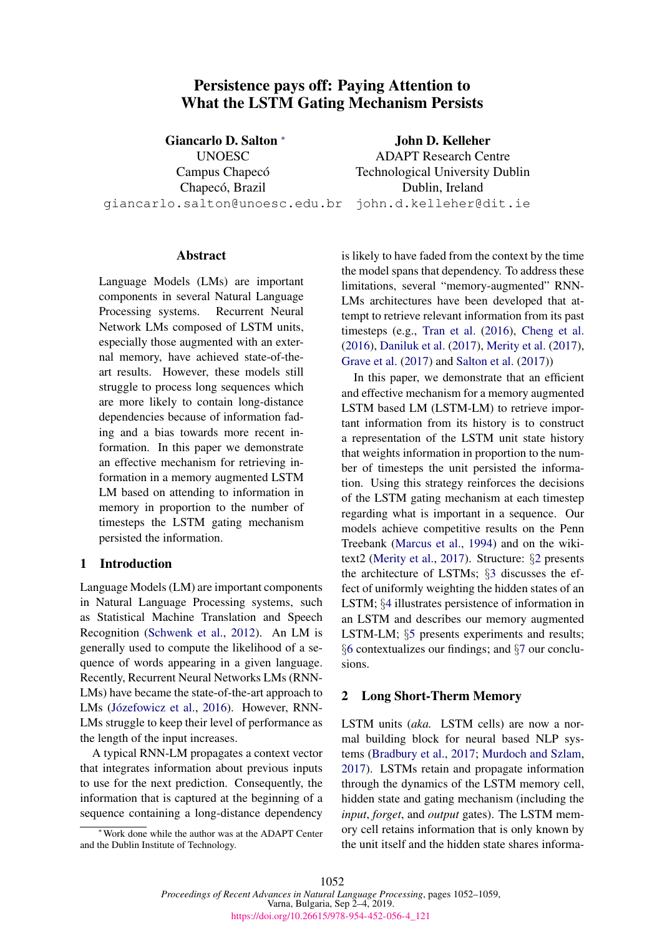# Persistence pays off: Paying Attention to What the LSTM Gating Mechanism Persists

Giancarlo D. Salton <sup>∗</sup> **UNOESC** Campus Chapecó Chapecó, Brazil giancarlo.salton@unoesc.edu.br

John D. Kelleher ADAPT Research Centre Technological University Dublin Dublin, Ireland john.d.kelleher@dit.ie

#### Abstract

Language Models (LMs) are important components in several Natural Language Processing systems. Recurrent Neural Network LMs composed of LSTM units, especially those augmented with an external memory, have achieved state-of-theart results. However, these models still struggle to process long sequences which are more likely to contain long-distance dependencies because of information fading and a bias towards more recent information. In this paper we demonstrate an effective mechanism for retrieving information in a memory augmented LSTM LM based on attending to information in memory in proportion to the number of timesteps the LSTM gating mechanism persisted the information.

## <span id="page-0-1"></span>1 Introduction

Language Models (LM) are important components in Natural Language Processing systems, such as Statistical Machine Translation and Speech Recognition [\(Schwenk et al.,](#page-6-0) [2012\)](#page-6-0). An LM is generally used to compute the likelihood of a sequence of words appearing in a given language. Recently, Recurrent Neural Networks LMs (RNN-LMs) have became the state-of-the-art approach to LMs (Józefowicz et al., [2016\)](#page-6-1). However, RNN-LMs struggle to keep their level of performance as the length of the input increases.

A typical RNN-LM propagates a context vector that integrates information about previous inputs to use for the next prediction. Consequently, the information that is captured at the beginning of a sequence containing a long-distance dependency

<sup>∗</sup>Work done while the author was at the ADAPT Center and the Dublin Institute of Technology.

is likely to have faded from the context by the time the model spans that dependency. To address these limitations, several "memory-augmented" RNN-LMs architectures have been developed that attempt to retrieve relevant information from its past timesteps (e.g., [Tran et al.](#page-7-0) [\(2016\)](#page-7-0), [Cheng et al.](#page-6-2) [\(2016\)](#page-6-2), [Daniluk et al.](#page-6-3) [\(2017\)](#page-6-3), [Merity et al.](#page-6-4) [\(2017\)](#page-6-4), [Grave et al.](#page-6-5) [\(2017\)](#page-6-5) and [Salton et al.](#page-6-6) [\(2017\)](#page-6-6))

In this paper, we demonstrate that an efficient and effective mechanism for a memory augmented LSTM based LM (LSTM-LM) to retrieve important information from its history is to construct a representation of the LSTM unit state history that weights information in proportion to the number of timesteps the unit persisted the information. Using this strategy reinforces the decisions of the LSTM gating mechanism at each timestep regarding what is important in a sequence. Our models achieve competitive results on the Penn Treebank [\(Marcus et al.,](#page-6-7) [1994\)](#page-6-7) and on the wikitext2 [\(Merity et al.,](#page-6-4) [2017\)](#page-6-4). Structure: §[2](#page-0-0) presents the architecture of LSTMs; §[3](#page-2-0) discusses the effect of uniformly weighting the hidden states of an LSTM; §[4](#page-2-1) illustrates persistence of information in an LSTM and describes our memory augmented LSTM-LM; §[5](#page-3-0) presents experiments and results; §[6](#page-4-0) contextualizes our findings; and §[7](#page-5-0) our conclusions.

#### <span id="page-0-0"></span>2 Long Short-Therm Memory

LSTM units (*aka.* LSTM cells) are now a normal building block for neural based NLP systems [\(Bradbury et al.,](#page-6-8) [2017;](#page-6-8) [Murdoch and Szlam,](#page-6-9) [2017\)](#page-6-9). LSTMs retain and propagate information through the dynamics of the LSTM memory cell, hidden state and gating mechanism (including the *input*, *forget*, and *output* gates). The LSTM memory cell retains information that is only known by the unit itself and the hidden state shares informa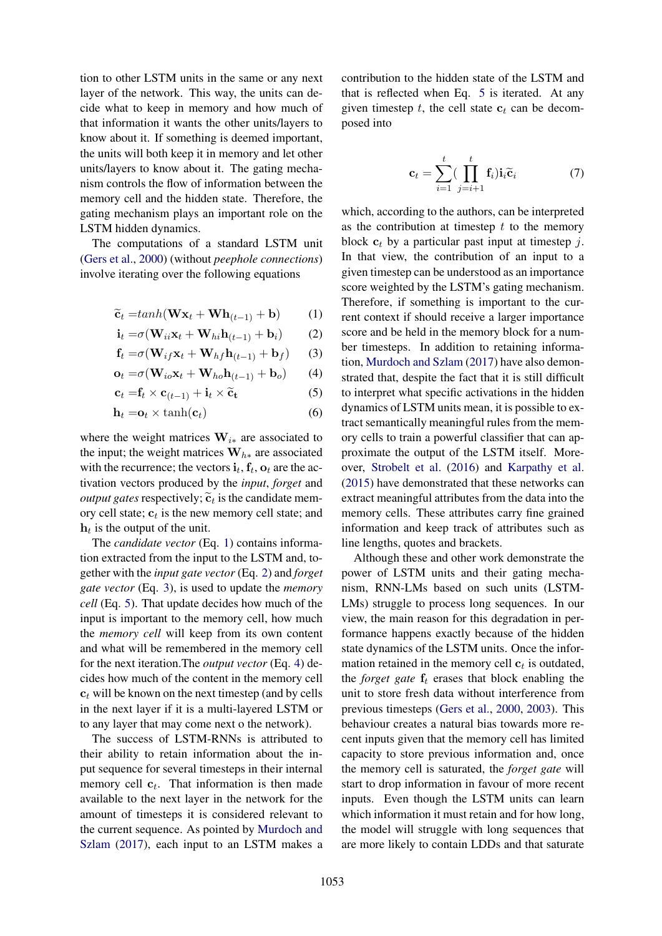tion to other LSTM units in the same or any next layer of the network. This way, the units can decide what to keep in memory and how much of that information it wants the other units/layers to know about it. If something is deemed important, the units will both keep it in memory and let other units/layers to know about it. The gating mechanism controls the flow of information between the memory cell and the hidden state. Therefore, the gating mechanism plays an important role on the LSTM hidden dynamics.

The computations of a standard LSTM unit [\(Gers et al.,](#page-6-10) [2000\)](#page-6-10) (without *peephole connections*) involve iterating over the following equations

$$
\widetilde{\mathbf{c}}_t = \tanh(\mathbf{W}\mathbf{x}_t + \mathbf{W}\mathbf{h}_{(t-1)} + \mathbf{b}) \tag{1}
$$

$$
\mathbf{i}_t = \sigma(\mathbf{W}_{ii}\mathbf{x}_t + \mathbf{W}_{hi}\mathbf{h}_{(t-1)} + \mathbf{b}_i)
$$
 (2)

$$
\mathbf{f}_t = \sigma(\mathbf{W}_{if}\mathbf{x}_t + \mathbf{W}_{hf}\mathbf{h}_{(t-1)} + \mathbf{b}_f)
$$
 (3)

$$
\mathbf{o}_t = \sigma(\mathbf{W}_{io}\mathbf{x}_t + \mathbf{W}_{ho}\mathbf{h}_{(t-1)} + \mathbf{b}_o)
$$
 (4)

$$
\mathbf{c}_t = \mathbf{f}_t \times \mathbf{c}_{(t-1)} + \mathbf{i}_t \times \widetilde{\mathbf{c}}_{\mathbf{t}}
$$
 (5)

$$
\mathbf{h}_t = \mathbf{o}_t \times \tanh(\mathbf{c}_t) \tag{6}
$$

where the weight matrices  $W_{i*}$  are associated to the input; the weight matrices  $W_{h*}$  are associated with the recurrence; the vectors  $\mathbf{i}_t$ ,  $\mathbf{f}_t$ ,  $\mathbf{o}_t$  are the activation vectors produced by the *input*, *forget* and *output gates* respectively;  $\tilde{c}_t$  is the candidate mem-<br>ory call state:  $\alpha$  is the new memory call state; and ory cell state;  $c_t$  is the new memory cell state; and  $h_t$  is the output of the unit.

The *candidate vector* (Eq. [1\)](#page-1-0) contains information extracted from the input to the LSTM and, together with the *input gate vector* (Eq. [2\)](#page-1-1) and *forget gate vector* (Eq. [3\)](#page-1-2), is used to update the *memory cell* (Eq. [5\)](#page-1-3). That update decides how much of the input is important to the memory cell, how much the *memory cell* will keep from its own content and what will be remembered in the memory cell for the next iteration.The *output vector* (Eq. [4\)](#page-1-4) decides how much of the content in the memory cell  $c_t$  will be known on the next timestep (and by cells in the next layer if it is a multi-layered LSTM or to any layer that may come next o the network).

The success of LSTM-RNNs is attributed to their ability to retain information about the input sequence for several timesteps in their internal memory cell  $c_t$ . That information is then made available to the next layer in the network for the amount of timesteps it is considered relevant to the current sequence. As pointed by [Murdoch and](#page-6-9) [Szlam](#page-6-9) [\(2017\)](#page-6-9), each input to an LSTM makes a

contribution to the hidden state of the LSTM and that is reflected when Eq. [5](#page-1-3) is iterated. At any given timestep  $t$ , the cell state  $c_t$  can be decomposed into

$$
\mathbf{c}_t = \sum_{i=1}^t (\prod_{j=i+1}^t \mathbf{f}_i) \mathbf{i}_i \widetilde{\mathbf{c}}_i \tag{7}
$$

<span id="page-1-4"></span><span id="page-1-3"></span><span id="page-1-2"></span><span id="page-1-1"></span><span id="page-1-0"></span>which, according to the authors, can be interpreted as the contribution at timestep  $t$  to the memory block  $c_t$  by a particular past input at timestep j. In that view, the contribution of an input to a given timestep can be understood as an importance score weighted by the LSTM's gating mechanism. Therefore, if something is important to the current context if should receive a larger importance score and be held in the memory block for a number timesteps. In addition to retaining information, [Murdoch and Szlam](#page-6-9) [\(2017\)](#page-6-9) have also demonstrated that, despite the fact that it is still difficult to interpret what specific activations in the hidden dynamics of LSTM units mean, it is possible to extract semantically meaningful rules from the memory cells to train a powerful classifier that can approximate the output of the LSTM itself. Moreover, [Strobelt et al.](#page-6-11) [\(2016\)](#page-6-11) and [Karpathy et al.](#page-6-12) [\(2015\)](#page-6-12) have demonstrated that these networks can extract meaningful attributes from the data into the memory cells. These attributes carry fine grained information and keep track of attributes such as line lengths, quotes and brackets.

Although these and other work demonstrate the power of LSTM units and their gating mechanism, RNN-LMs based on such units (LSTM-LMs) struggle to process long sequences. In our view, the main reason for this degradation in performance happens exactly because of the hidden state dynamics of the LSTM units. Once the information retained in the memory cell  $c_t$  is outdated, the *forget gate*  $f_t$  erases that block enabling the unit to store fresh data without interference from previous timesteps [\(Gers et al.,](#page-6-10) [2000,](#page-6-10) [2003\)](#page-6-13). This behaviour creates a natural bias towards more recent inputs given that the memory cell has limited capacity to store previous information and, once the memory cell is saturated, the *forget gate* will start to drop information in favour of more recent inputs. Even though the LSTM units can learn which information it must retain and for how long, the model will struggle with long sequences that are more likely to contain LDDs and that saturate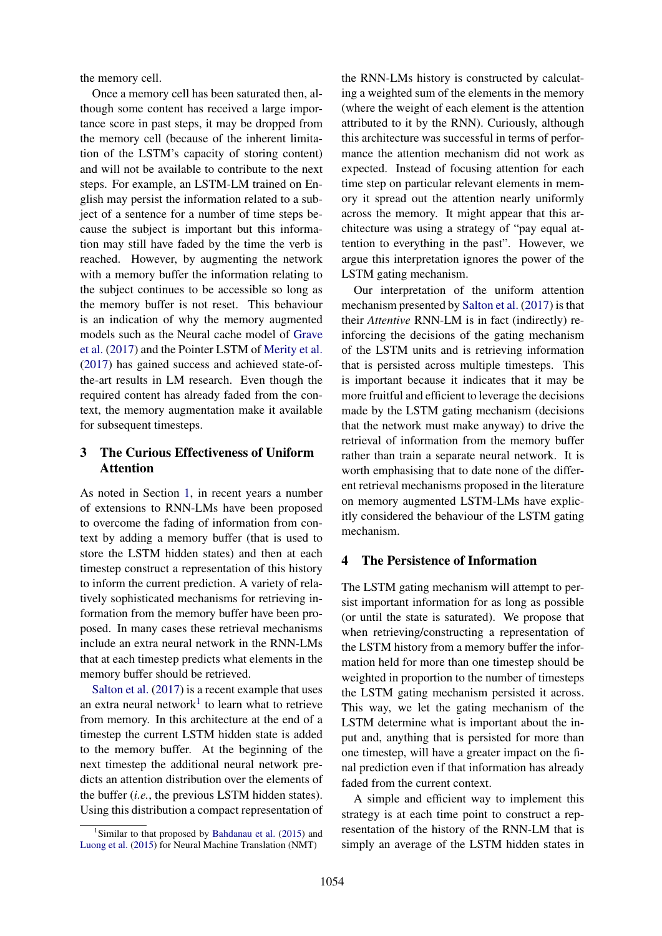the memory cell.

Once a memory cell has been saturated then, although some content has received a large importance score in past steps, it may be dropped from the memory cell (because of the inherent limitation of the LSTM's capacity of storing content) and will not be available to contribute to the next steps. For example, an LSTM-LM trained on English may persist the information related to a subject of a sentence for a number of time steps because the subject is important but this information may still have faded by the time the verb is reached. However, by augmenting the network with a memory buffer the information relating to the subject continues to be accessible so long as the memory buffer is not reset. This behaviour is an indication of why the memory augmented models such as the Neural cache model of [Grave](#page-6-5) [et al.](#page-6-5) [\(2017\)](#page-6-5) and the Pointer LSTM of [Merity et al.](#page-6-4) [\(2017\)](#page-6-4) has gained success and achieved state-ofthe-art results in LM research. Even though the required content has already faded from the context, the memory augmentation make it available for subsequent timesteps.

## <span id="page-2-0"></span>3 The Curious Effectiveness of Uniform Attention

As noted in Section [1,](#page-0-1) in recent years a number of extensions to RNN-LMs have been proposed to overcome the fading of information from context by adding a memory buffer (that is used to store the LSTM hidden states) and then at each timestep construct a representation of this history to inform the current prediction. A variety of relatively sophisticated mechanisms for retrieving information from the memory buffer have been proposed. In many cases these retrieval mechanisms include an extra neural network in the RNN-LMs that at each timestep predicts what elements in the memory buffer should be retrieved.

[Salton et al.](#page-6-6) [\(2017\)](#page-6-6) is a recent example that uses an extra neural network<sup>[1](#page-2-2)</sup> to learn what to retrieve from memory. In this architecture at the end of a timestep the current LSTM hidden state is added to the memory buffer. At the beginning of the next timestep the additional neural network predicts an attention distribution over the elements of the buffer (*i.e.*, the previous LSTM hidden states). Using this distribution a compact representation of the RNN-LMs history is constructed by calculating a weighted sum of the elements in the memory (where the weight of each element is the attention attributed to it by the RNN). Curiously, although this architecture was successful in terms of performance the attention mechanism did not work as expected. Instead of focusing attention for each time step on particular relevant elements in memory it spread out the attention nearly uniformly across the memory. It might appear that this architecture was using a strategy of "pay equal attention to everything in the past". However, we argue this interpretation ignores the power of the LSTM gating mechanism.

Our interpretation of the uniform attention mechanism presented by [Salton et al.](#page-6-6) [\(2017\)](#page-6-6) is that their *Attentive* RNN-LM is in fact (indirectly) reinforcing the decisions of the gating mechanism of the LSTM units and is retrieving information that is persisted across multiple timesteps. This is important because it indicates that it may be more fruitful and efficient to leverage the decisions made by the LSTM gating mechanism (decisions that the network must make anyway) to drive the retrieval of information from the memory buffer rather than train a separate neural network. It is worth emphasising that to date none of the different retrieval mechanisms proposed in the literature on memory augmented LSTM-LMs have explicitly considered the behaviour of the LSTM gating mechanism.

## <span id="page-2-1"></span>4 The Persistence of Information

The LSTM gating mechanism will attempt to persist important information for as long as possible (or until the state is saturated). We propose that when retrieving/constructing a representation of the LSTM history from a memory buffer the information held for more than one timestep should be weighted in proportion to the number of timesteps the LSTM gating mechanism persisted it across. This way, we let the gating mechanism of the LSTM determine what is important about the input and, anything that is persisted for more than one timestep, will have a greater impact on the final prediction even if that information has already faded from the current context.

A simple and efficient way to implement this strategy is at each time point to construct a representation of the history of the RNN-LM that is simply an average of the LSTM hidden states in

<span id="page-2-2"></span><sup>&</sup>lt;sup>1</sup>Similar to that proposed by [Bahdanau et al.](#page-6-14) [\(2015\)](#page-6-14) and [Luong et al.](#page-6-15) [\(2015\)](#page-6-15) for Neural Machine Translation (NMT)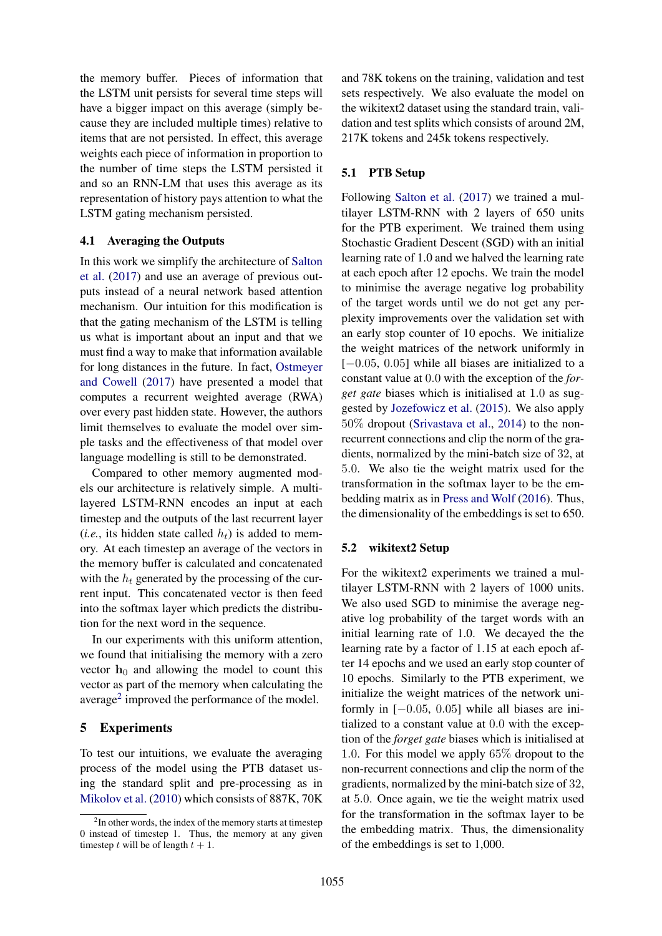the memory buffer. Pieces of information that the LSTM unit persists for several time steps will have a bigger impact on this average (simply because they are included multiple times) relative to items that are not persisted. In effect, this average weights each piece of information in proportion to the number of time steps the LSTM persisted it and so an RNN-LM that uses this average as its representation of history pays attention to what the LSTM gating mechanism persisted.

#### 4.1 Averaging the Outputs

In this work we simplify the architecture of [Salton](#page-6-6) [et al.](#page-6-6) [\(2017\)](#page-6-6) and use an average of previous outputs instead of a neural network based attention mechanism. Our intuition for this modification is that the gating mechanism of the LSTM is telling us what is important about an input and that we must find a way to make that information available for long distances in the future. In fact, [Ostmeyer](#page-6-16) [and Cowell](#page-6-16) [\(2017\)](#page-6-16) have presented a model that computes a recurrent weighted average (RWA) over every past hidden state. However, the authors limit themselves to evaluate the model over simple tasks and the effectiveness of that model over language modelling is still to be demonstrated.

Compared to other memory augmented models our architecture is relatively simple. A multilayered LSTM-RNN encodes an input at each timestep and the outputs of the last recurrent layer (*i.e.*, its hidden state called  $h_t$ ) is added to memory. At each timestep an average of the vectors in the memory buffer is calculated and concatenated with the  $h_t$  generated by the processing of the current input. This concatenated vector is then feed into the softmax layer which predicts the distribution for the next word in the sequence.

In our experiments with this uniform attention, we found that initialising the memory with a zero vector  $h_0$  and allowing the model to count this vector as part of the memory when calculating the average<sup>[2](#page-3-1)</sup> improved the performance of the model.

#### <span id="page-3-0"></span>5 Experiments

To test our intuitions, we evaluate the averaging process of the model using the PTB dataset using the standard split and pre-processing as in [Mikolov et al.](#page-6-17) [\(2010\)](#page-6-17) which consists of 887K, 70K

and 78K tokens on the training, validation and test sets respectively. We also evaluate the model on the wikitext2 dataset using the standard train, validation and test splits which consists of around 2M, 217K tokens and 245k tokens respectively.

#### 5.1 PTB Setup

Following [Salton et al.](#page-6-6) [\(2017\)](#page-6-6) we trained a multilayer LSTM-RNN with 2 layers of 650 units for the PTB experiment. We trained them using Stochastic Gradient Descent (SGD) with an initial learning rate of 1.0 and we halved the learning rate at each epoch after 12 epochs. We train the model to minimise the average negative log probability of the target words until we do not get any perplexity improvements over the validation set with an early stop counter of 10 epochs. We initialize the weight matrices of the network uniformly in  $[-0.05, 0.05]$  while all biases are initialized to a constant value at 0.0 with the exception of the *forget gate* biases which is initialised at 1.0 as suggested by [Jozefowicz et al.](#page-6-18) [\(2015\)](#page-6-18). We also apply 50% dropout [\(Srivastava et al.,](#page-6-19) [2014\)](#page-6-19) to the nonrecurrent connections and clip the norm of the gradients, normalized by the mini-batch size of 32, at 5.0. We also tie the weight matrix used for the transformation in the softmax layer to be the embedding matrix as in [Press and Wolf](#page-6-20) [\(2016\)](#page-6-20). Thus, the dimensionality of the embeddings is set to 650.

#### 5.2 wikitext2 Setup

For the wikitext2 experiments we trained a multilayer LSTM-RNN with 2 layers of 1000 units. We also used SGD to minimise the average negative log probability of the target words with an initial learning rate of 1.0. We decayed the the learning rate by a factor of 1.15 at each epoch after 14 epochs and we used an early stop counter of 10 epochs. Similarly to the PTB experiment, we initialize the weight matrices of the network uniformly in  $[-0.05, 0.05]$  while all biases are initialized to a constant value at 0.0 with the exception of the *forget gate* biases which is initialised at 1.0. For this model we apply 65% dropout to the non-recurrent connections and clip the norm of the gradients, normalized by the mini-batch size of 32, at 5.0. Once again, we tie the weight matrix used for the transformation in the softmax layer to be the embedding matrix. Thus, the dimensionality of the embeddings is set to 1,000.

<span id="page-3-1"></span><sup>&</sup>lt;sup>2</sup>In other words, the index of the memory starts at timestep 0 instead of timestep 1. Thus, the memory at any given timestep t will be of length  $t + 1$ .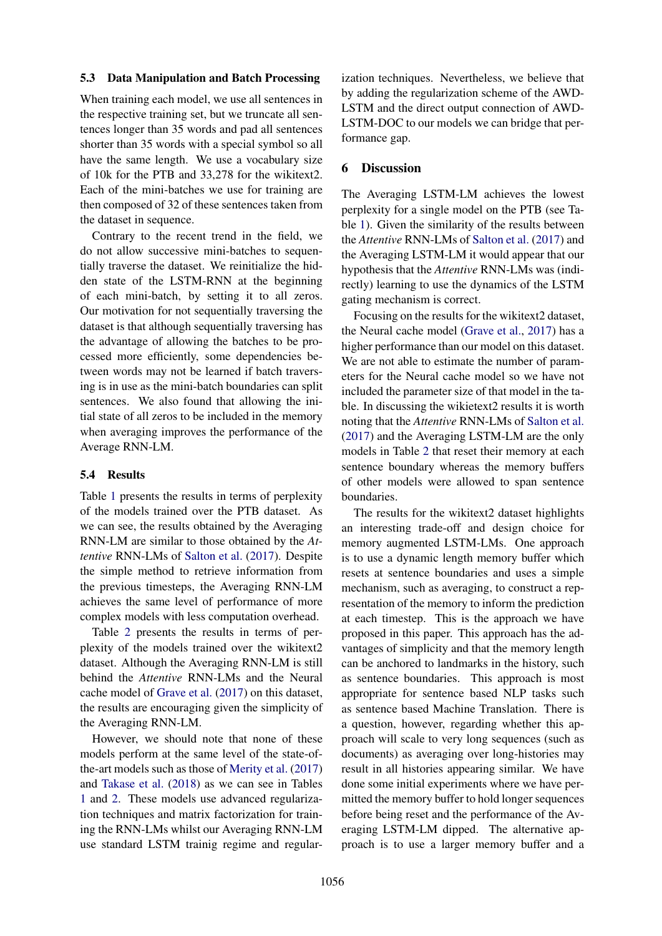#### 5.3 Data Manipulation and Batch Processing

When training each model, we use all sentences in the respective training set, but we truncate all sentences longer than 35 words and pad all sentences shorter than 35 words with a special symbol so all have the same length. We use a vocabulary size of 10k for the PTB and 33,278 for the wikitext2. Each of the mini-batches we use for training are then composed of 32 of these sentences taken from the dataset in sequence.

Contrary to the recent trend in the field, we do not allow successive mini-batches to sequentially traverse the dataset. We reinitialize the hidden state of the LSTM-RNN at the beginning of each mini-batch, by setting it to all zeros. Our motivation for not sequentially traversing the dataset is that although sequentially traversing has the advantage of allowing the batches to be processed more efficiently, some dependencies between words may not be learned if batch traversing is in use as the mini-batch boundaries can split sentences. We also found that allowing the initial state of all zeros to be included in the memory when averaging improves the performance of the Average RNN-LM.

#### 5.4 Results

Table [1](#page-5-1) presents the results in terms of perplexity of the models trained over the PTB dataset. As we can see, the results obtained by the Averaging RNN-LM are similar to those obtained by the *Attentive* RNN-LMs of [Salton et al.](#page-6-6) [\(2017\)](#page-6-6). Despite the simple method to retrieve information from the previous timesteps, the Averaging RNN-LM achieves the same level of performance of more complex models with less computation overhead.

Table [2](#page-5-2) presents the results in terms of perplexity of the models trained over the wikitext2 dataset. Although the Averaging RNN-LM is still behind the *Attentive* RNN-LMs and the Neural cache model of [Grave et al.](#page-6-5) [\(2017\)](#page-6-5) on this dataset, the results are encouraging given the simplicity of the Averaging RNN-LM.

However, we should note that none of these models perform at the same level of the state-ofthe-art models such as those of [Merity et al.](#page-6-4) [\(2017\)](#page-6-4) and [Takase et al.](#page-7-1) [\(2018\)](#page-7-1) as we can see in Tables [1](#page-5-1) and [2.](#page-5-2) These models use advanced regularization techniques and matrix factorization for training the RNN-LMs whilst our Averaging RNN-LM use standard LSTM trainig regime and regular-

ization techniques. Nevertheless, we believe that by adding the regularization scheme of the AWD-LSTM and the direct output connection of AWD-LSTM-DOC to our models we can bridge that performance gap.

### <span id="page-4-0"></span>6 Discussion

The Averaging LSTM-LM achieves the lowest perplexity for a single model on the PTB (see Table [1\)](#page-5-1). Given the similarity of the results between the *Attentive* RNN-LMs of [Salton et al.](#page-6-6) [\(2017\)](#page-6-6) and the Averaging LSTM-LM it would appear that our hypothesis that the *Attentive* RNN-LMs was (indirectly) learning to use the dynamics of the LSTM gating mechanism is correct.

Focusing on the results for the wikitext2 dataset, the Neural cache model [\(Grave et al.,](#page-6-5) [2017\)](#page-6-5) has a higher performance than our model on this dataset. We are not able to estimate the number of parameters for the Neural cache model so we have not included the parameter size of that model in the table. In discussing the wikietext2 results it is worth noting that the *Attentive* RNN-LMs of [Salton et al.](#page-6-6) [\(2017\)](#page-6-6) and the Averaging LSTM-LM are the only models in Table [2](#page-5-2) that reset their memory at each sentence boundary whereas the memory buffers of other models were allowed to span sentence boundaries.

The results for the wikitext2 dataset highlights an interesting trade-off and design choice for memory augmented LSTM-LMs. One approach is to use a dynamic length memory buffer which resets at sentence boundaries and uses a simple mechanism, such as averaging, to construct a representation of the memory to inform the prediction at each timestep. This is the approach we have proposed in this paper. This approach has the advantages of simplicity and that the memory length can be anchored to landmarks in the history, such as sentence boundaries. This approach is most appropriate for sentence based NLP tasks such as sentence based Machine Translation. There is a question, however, regarding whether this approach will scale to very long sequences (such as documents) as averaging over long-histories may result in all histories appearing similar. We have done some initial experiments where we have permitted the memory buffer to hold longer sequences before being reset and the performance of the Averaging LSTM-LM dipped. The alternative approach is to use a larger memory buffer and a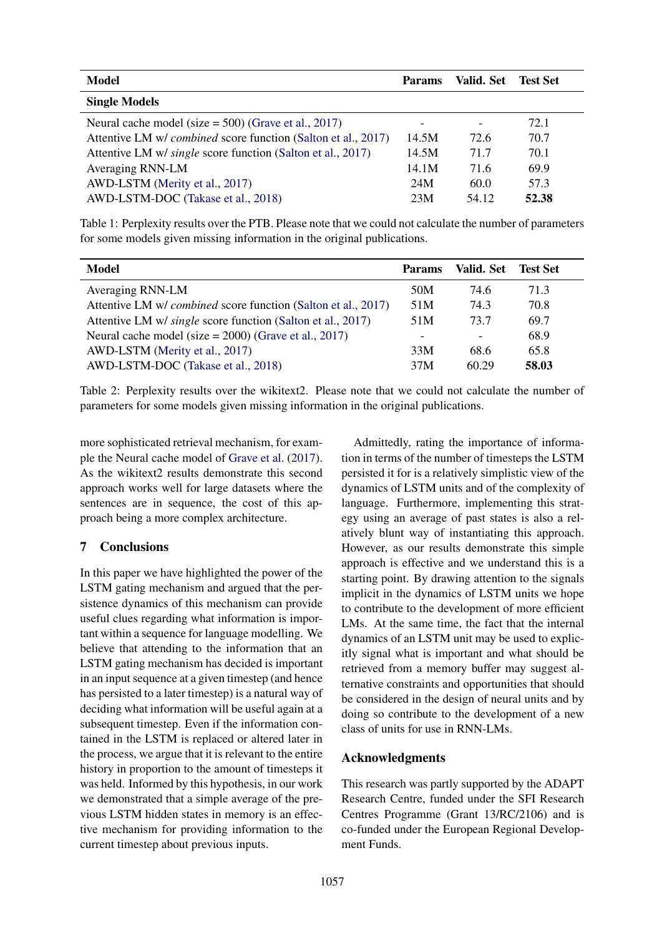| <b>Model</b>                                                         | <b>Params</b> | Valid. Set | <b>Test Set</b> |
|----------------------------------------------------------------------|---------------|------------|-----------------|
| <b>Single Models</b>                                                 |               |            |                 |
| Neural cache model (size = $500$ ) (Grave et al., 2017)              |               |            | 72.1            |
| Attentive LM w/ <i>combined</i> score function (Salton et al., 2017) | 14.5M         | 72.6       | 70.7            |
| Attentive LM w/ <i>single</i> score function (Salton et al., 2017)   | 14.5M         | 71.7       | 70.1            |
| Averaging RNN-LM                                                     | 14.1M         | 71.6       | 69.9            |
| AWD-LSTM (Merity et al., 2017)                                       | 24M           | 60.0       | 57.3            |
| AWD-LSTM-DOC (Takase et al., 2018)                                   | 23M           | 54.12      | 52.38           |

<span id="page-5-1"></span>Table 1: Perplexity results over the PTB. Please note that we could not calculate the number of parameters for some models given missing information in the original publications.

| Model                                                         | <b>Params</b>            | Valid. Set | <b>Test Set</b> |
|---------------------------------------------------------------|--------------------------|------------|-----------------|
| Averaging RNN-LM                                              | 50M                      | 74.6       | 71.3            |
| Attentive LM w/ combined score function (Salton et al., 2017) | 51M                      | 74.3       | 70.8            |
| Attentive LM w/ single score function (Salton et al., 2017)   | 51M                      | 73.7       | 69.7            |
| Neural cache model (size = $2000$ ) (Grave et al., 2017)      | $\overline{\phantom{a}}$ | -          | 68.9            |
| AWD-LSTM (Merity et al., 2017)                                | 33M                      | 68.6       | 65.8            |
| AWD-LSTM-DOC (Takase et al., 2018)                            | 37M                      | 60.29      | 58.03           |

<span id="page-5-2"></span>Table 2: Perplexity results over the wikitext2. Please note that we could not calculate the number of parameters for some models given missing information in the original publications.

more sophisticated retrieval mechanism, for example the Neural cache model of [Grave et al.](#page-6-5) [\(2017\)](#page-6-5). As the wikitext2 results demonstrate this second approach works well for large datasets where the sentences are in sequence, the cost of this approach being a more complex architecture.

# <span id="page-5-0"></span>7 Conclusions

In this paper we have highlighted the power of the LSTM gating mechanism and argued that the persistence dynamics of this mechanism can provide useful clues regarding what information is important within a sequence for language modelling. We believe that attending to the information that an LSTM gating mechanism has decided is important in an input sequence at a given timestep (and hence has persisted to a later timestep) is a natural way of deciding what information will be useful again at a subsequent timestep. Even if the information contained in the LSTM is replaced or altered later in the process, we argue that it is relevant to the entire history in proportion to the amount of timesteps it was held. Informed by this hypothesis, in our work we demonstrated that a simple average of the previous LSTM hidden states in memory is an effective mechanism for providing information to the current timestep about previous inputs.

Admittedly, rating the importance of information in terms of the number of timesteps the LSTM persisted it for is a relatively simplistic view of the dynamics of LSTM units and of the complexity of language. Furthermore, implementing this strategy using an average of past states is also a relatively blunt way of instantiating this approach. However, as our results demonstrate this simple approach is effective and we understand this is a starting point. By drawing attention to the signals implicit in the dynamics of LSTM units we hope to contribute to the development of more efficient LMs. At the same time, the fact that the internal dynamics of an LSTM unit may be used to explicitly signal what is important and what should be retrieved from a memory buffer may suggest alternative constraints and opportunities that should be considered in the design of neural units and by doing so contribute to the development of a new class of units for use in RNN-LMs.

## Acknowledgments

This research was partly supported by the ADAPT Research Centre, funded under the SFI Research Centres Programme (Grant 13/RC/2106) and is co-funded under the European Regional Development Funds.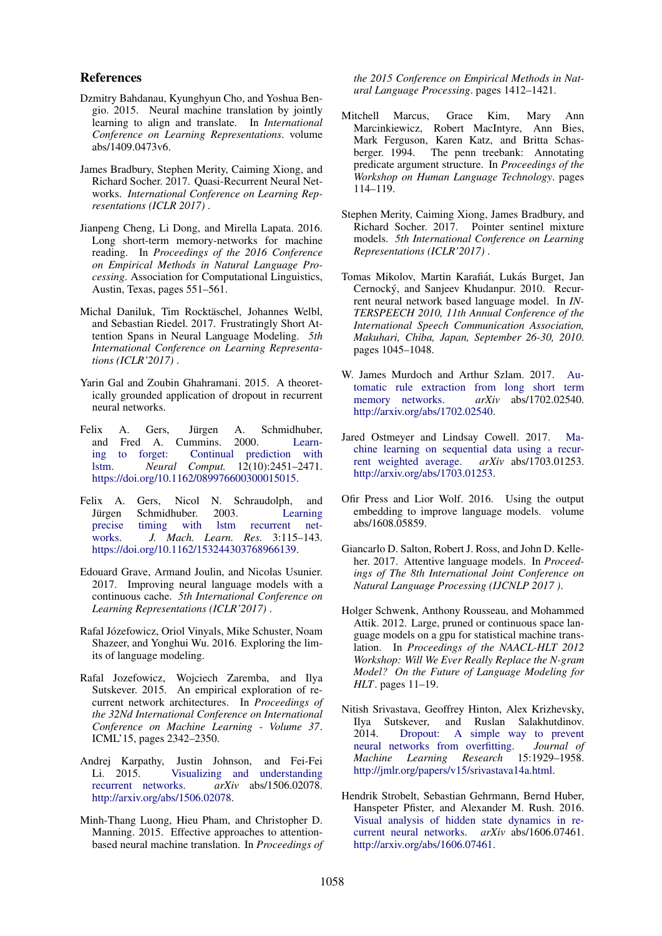#### References

- <span id="page-6-14"></span>Dzmitry Bahdanau, Kyunghyun Cho, and Yoshua Bengio. 2015. Neural machine translation by jointly learning to align and translate. In *International Conference on Learning Representations*. volume abs/1409.0473v6.
- <span id="page-6-8"></span>James Bradbury, Stephen Merity, Caiming Xiong, and Richard Socher. 2017. Quasi-Recurrent Neural Networks. *International Conference on Learning Representations (ICLR 2017)* .
- <span id="page-6-2"></span>Jianpeng Cheng, Li Dong, and Mirella Lapata. 2016. Long short-term memory-networks for machine reading. In *Proceedings of the 2016 Conference on Empirical Methods in Natural Language Processing*. Association for Computational Linguistics, Austin, Texas, pages 551–561.
- <span id="page-6-3"></span>Michal Daniluk, Tim Rocktäschel, Johannes Welbl, and Sebastian Riedel. 2017. Frustratingly Short Attention Spans in Neural Language Modeling. *5th International Conference on Learning Representations (ICLR'2017)* .
- Yarin Gal and Zoubin Ghahramani. 2015. A theoretically grounded application of dropout in recurrent neural networks.
- <span id="page-6-10"></span>Felix A. Gers, Jürgen A. Schmidhuber, and Fred A. Cummins. 2000. [Learn](https://doi.org/10.1162/089976600300015015)[ing to forget: Continual prediction with](https://doi.org/10.1162/089976600300015015) [lstm.](https://doi.org/10.1162/089976600300015015) *Neural Comput.* 12(10):2451–2471. [https://doi.org/10.1162/089976600300015015.](https://doi.org/10.1162/089976600300015015)
- <span id="page-6-13"></span>Felix A. Gers, Nicol N. Schraudolph, and Jürgen Schmidhuber. 2003. [Learning](https://doi.org/10.1162/153244303768966139) [precise timing with lstm recurrent net](https://doi.org/10.1162/153244303768966139)[works.](https://doi.org/10.1162/153244303768966139) *J. Mach. Learn. Res.* 3:115–143. [https://doi.org/10.1162/153244303768966139.](https://doi.org/10.1162/153244303768966139)
- <span id="page-6-5"></span>Edouard Grave, Armand Joulin, and Nicolas Usunier. 2017. Improving neural language models with a continuous cache. *5th International Conference on Learning Representations (ICLR'2017)* .
- <span id="page-6-1"></span>Rafal Józefowicz, Oriol Vinyals, Mike Schuster, Noam Shazeer, and Yonghui Wu. 2016. Exploring the limits of language modeling.
- <span id="page-6-18"></span>Rafal Jozefowicz, Wojciech Zaremba, and Ilya Sutskever. 2015. An empirical exploration of recurrent network architectures. In *Proceedings of the 32Nd International Conference on International Conference on Machine Learning - Volume 37*. ICML'15, pages 2342–2350.
- <span id="page-6-12"></span>Andrej Karpathy, Justin Johnson, and Fei-Fei [Visualizing and understanding](http://arxiv.org/abs/1506.02078) [recurrent networks.](http://arxiv.org/abs/1506.02078) *arXiv* abs/1506.02078. [http://arxiv.org/abs/1506.02078.](http://arxiv.org/abs/1506.02078)
- <span id="page-6-15"></span>Minh-Thang Luong, Hieu Pham, and Christopher D. Manning. 2015. Effective approaches to attentionbased neural machine translation. In *Proceedings of*

*the 2015 Conference on Empirical Methods in Natural Language Processing*. pages 1412–1421.

- <span id="page-6-7"></span>Mitchell Marcus, Grace Kim, Mary Ann Marcinkiewicz, Robert MacIntyre, Ann Bies, Mark Ferguson, Karen Katz, and Britta Schas-<br>berger. 1994. The penn treebank: Annotating The penn treebank: Annotating predicate argument structure. In *Proceedings of the Workshop on Human Language Technology*. pages 114–119.
- <span id="page-6-4"></span>Stephen Merity, Caiming Xiong, James Bradbury, and Richard Socher. 2017. Pointer sentinel mixture models. *5th International Conference on Learning Representations (ICLR'2017)* .
- <span id="page-6-17"></span>Tomas Mikolov, Martin Karafiát, Lukás Burget, Jan Cernocký, and Sanjeev Khudanpur. 2010. Recurrent neural network based language model. In *IN-TERSPEECH 2010, 11th Annual Conference of the International Speech Communication Association, Makuhari, Chiba, Japan, September 26-30, 2010*. pages 1045–1048.
- <span id="page-6-9"></span>W. James Murdoch and Arthur Szlam. 2017. [Au](http://arxiv.org/abs/1702.02540)[tomatic rule extraction from long short term](http://arxiv.org/abs/1702.02540) [memory networks.](http://arxiv.org/abs/1702.02540) *arXiv* abs/1702.02540. [http://arxiv.org/abs/1702.02540.](http://arxiv.org/abs/1702.02540)
- <span id="page-6-16"></span>Jared Ostmeyer and Lindsay Cowell. 2017. [Ma](http://arxiv.org/abs/1703.01253)[chine learning on sequential data using a recur](http://arxiv.org/abs/1703.01253)[rent weighted average.](http://arxiv.org/abs/1703.01253) *arXiv* abs/1703.01253. [http://arxiv.org/abs/1703.01253.](http://arxiv.org/abs/1703.01253)
- <span id="page-6-20"></span>Ofir Press and Lior Wolf. 2016. Using the output embedding to improve language models. volume abs/1608.05859.
- <span id="page-6-6"></span>Giancarlo D. Salton, Robert J. Ross, and John D. Kelleher. 2017. Attentive language models. In *Proceedings of The 8th International Joint Conference on Natural Language Processing (IJCNLP 2017 )*.
- <span id="page-6-0"></span>Holger Schwenk, Anthony Rousseau, and Mohammed Attik. 2012. Large, pruned or continuous space language models on a gpu for statistical machine translation. In *Proceedings of the NAACL-HLT 2012 Workshop: Will We Ever Really Replace the N-gram Model? On the Future of Language Modeling for HLT*. pages 11–19.
- <span id="page-6-19"></span>Nitish Srivastava, Geoffrey Hinton, Alex Krizhevsky, Ilya Sutskever, and Ruslan Salakhutdinov. 2014. [Dropout: A simple way to prevent](http://jmlr.org/papers/v15/srivastava14a.html) neural networks from overfitting. *Journal of* [neural networks from overfitting.](http://jmlr.org/papers/v15/srivastava14a.html) *Machine Learning Research* 15:1929–1958. [http://jmlr.org/papers/v15/srivastava14a.html.](http://jmlr.org/papers/v15/srivastava14a.html)
- <span id="page-6-11"></span>Hendrik Strobelt, Sebastian Gehrmann, Bernd Huber, Hanspeter Pfister, and Alexander M. Rush. 2016. [Visual analysis of hidden state dynamics in re](http://arxiv.org/abs/1606.07461)[current neural networks.](http://arxiv.org/abs/1606.07461) *arXiv* abs/1606.07461. [http://arxiv.org/abs/1606.07461.](http://arxiv.org/abs/1606.07461)